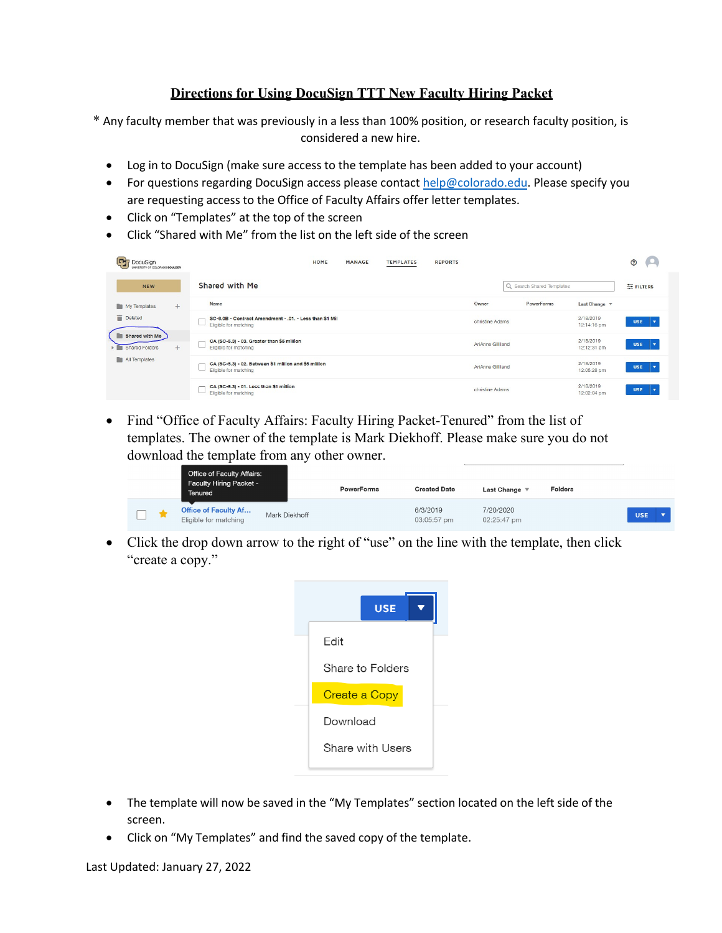## **Directions for Using DocuSign TTT New Faculty Hiring Packet**

\* Any faculty member that was previously in a less than 100% position, or research faculty position, is considered a new hire.

- Log in to DocuSign (make sure access to the template has been added to your account)
- For questions regarding DocuSign access please contact  $help@colorado.edu$ . Please specify you are requesting access to the Office of Faculty Affairs offer letter templates.
- Click on "Templates" at the top of the screen
- Click "Shared with Me" from the list on the left side of the screen

| Œ<br>DocuSign<br>UNIVERSITY OF COLORADO BOULDER | HOME<br>MANAGE<br><b>TEMPLATES</b>                                               | <b>REPORTS</b>             | O.<br>$\odot$                                                      |
|-------------------------------------------------|----------------------------------------------------------------------------------|----------------------------|--------------------------------------------------------------------|
| <b>NEW</b>                                      | Shared with Me                                                                   | Q Search Shared Templates  | 三 FILTERS                                                          |
| My Templates<br>$+$                             | Name                                                                             | Owner<br><b>PowerForms</b> | Last Change $\sqrt$                                                |
| î<br>Deleted                                    | SC-6.0B - Contract Amendment - .01. - Less than \$1 Mil<br>Eligible for matching | christine Adams            | 2/18/2019<br><b>USE</b><br>∣▼<br>12:14:16 pm                       |
| Shared with Me<br>$+$<br>> Shared Folders       | CA (SC-5.3) - 03. Greater than \$5 million<br>Eligible for matching              | AriAnne Gilliland          | 2/18/2019<br><b>USE</b><br>l.▼<br>12:12:31 pm                      |
| All Templates                                   | CA (SC-5.3) - 02. Between \$1 million and \$5 million<br>Eligible for matching   | AriAnne Gilliland          | 2/18/2019<br><b>USE</b><br>$\overline{\phantom{a}}$<br>12:05:28 pm |
|                                                 | CA (SC-5.3) - 01. Less than \$1 million<br>Eligible for matching                 | christine Adams            | 2/18/2019<br><b>USE</b><br>$\overline{\mathbf{v}}$<br>12:02:04 pm  |

• Find "Office of Faculty Affairs: Faculty Hiring Packet-Tenured" from the list of templates. The owner of the template is Mark Diekhoff. Please make sure you do not download the template from any other owner.

| Office of Faculty Affairs:                           |               |                   |                         |                          |                |            |
|------------------------------------------------------|---------------|-------------------|-------------------------|--------------------------|----------------|------------|
| Faculty Hiring Packet -<br>Tenured                   |               | <b>PowerForms</b> | <b>Created Date</b>     | Last Change              | <b>Folders</b> |            |
| <b>Office of Faculty Af</b><br>Eligible for matching | Mark Diekhoff |                   | 6/3/2019<br>03:05:57 pm | 7/20/2020<br>02:25:47 pm |                | <b>USE</b> |

• Click the drop down arrow to the right of "use" on the line with the template, then click "create a copy."



- The template will now be saved in the "My Templates" section located on the left side of the screen.
- Click on "My Templates" and find the saved copy of the template.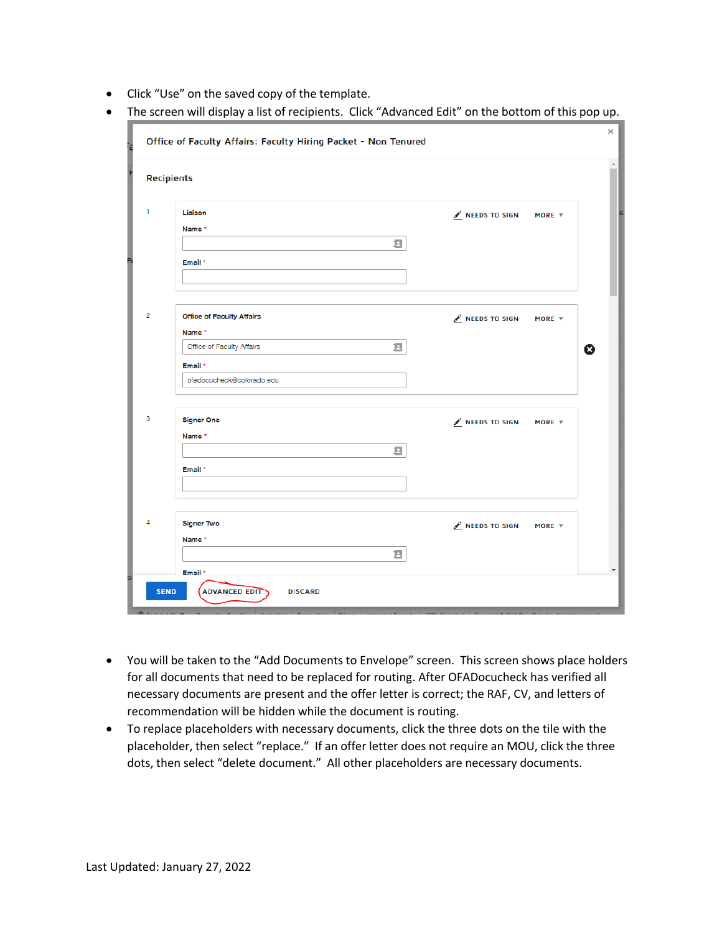- Click "Use" on the saved copy of the template.
- The screen will display a list of recipients. Click "Advanced Edit" on the bottom of this pop up.

|                        | ×<br>Office of Faculty Affairs: Faculty Hiring Packet - Non Tenured                                                 |                                                    |                           |  |  |  |
|------------------------|---------------------------------------------------------------------------------------------------------------------|----------------------------------------------------|---------------------------|--|--|--|
| N<br><b>Recipients</b> |                                                                                                                     |                                                    | $\Delta$                  |  |  |  |
| 1                      | Liaison<br>Name*<br>Ø<br>Email *                                                                                    | $\mathcal{L}$ NEEDS TO SIGN<br>MORE $\overline{v}$ |                           |  |  |  |
| $\overline{2}$         | <b>Office of Faculty Affairs</b><br>Name*<br>Е<br>Office of Faculty Affairs<br>Email *<br>ofadocucheck@colorado.edu | NEEDS TO SIGN<br>MORE $\overline{v}$               | $\boldsymbol{\mathsf{x}}$ |  |  |  |
| з                      | <b>Signer One</b><br>Name*<br>a<br>Email *                                                                          | $\mathcal{L}$ NEEDS TO SIGN<br>MORE $\overline{v}$ |                           |  |  |  |
| 4<br>a<br><b>SEND</b>  | <b>Signer Two</b><br>Name *<br>Е<br>Email *<br><b>ADVANCED EDIT</b><br><b>DISCARD</b>                               | NEEDS TO SIGN<br>MORE $\overline{\mathbf{v}}$      | $\blacktriangledown$      |  |  |  |

- You will be taken to the "Add Documents to Envelope" screen. This screen shows place holders for all documents that need to be replaced for routing. After OFADocucheck has verified all necessary documents are present and the offer letter is correct; the RAF, CV, and letters of recommendation will be hidden while the document is routing.
- To replace placeholders with necessary documents, click the three dots on the tile with the placeholder, then select "replace." If an offer letter does not require an MOU, click the three dots, then select "delete document." All other placeholders are necessary documents.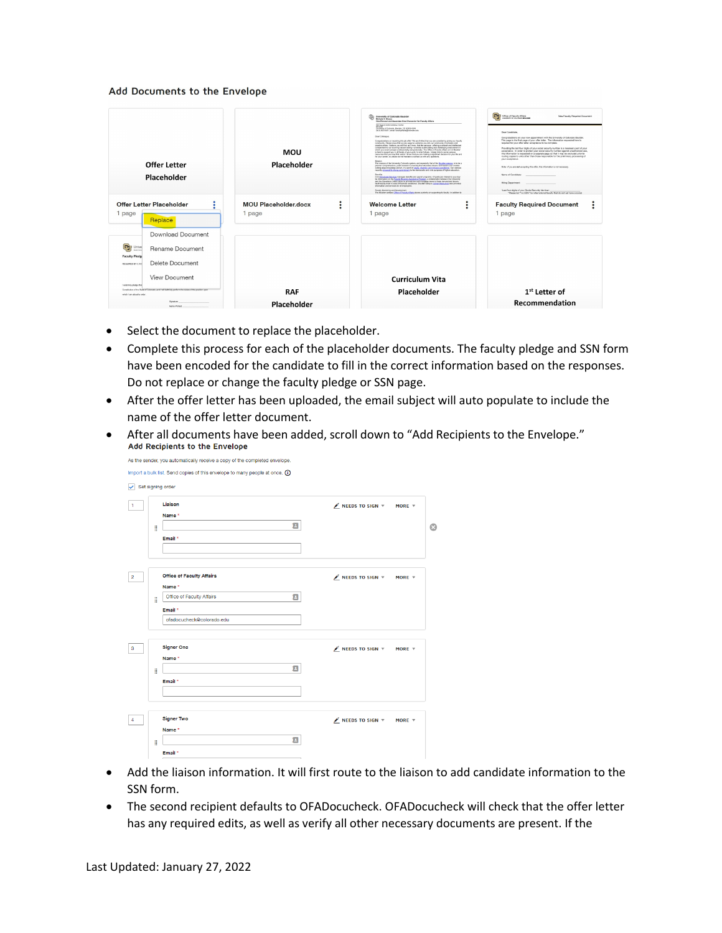## Add Documents to the Envelope

| <b>Offer Letter</b><br>Placeholder                                                                                                                                                                                                                                                    | <b>MOU</b><br>Placeholder             | University of Colorado Boulder<br>Michale 5. Moses<br>Vice Prevost and Associate Vice Chanceller for Faculty Affairs<br>2017 Store LAdministration Conter<br>Unversity of Colorada, Boalder, CO 80309-0049<br>(303) 402-5401   email: faculty@lanc@coloradc.ack/<br>Dear Colleague.<br>Conceptutions on receiving this job offer! We are thrilled that you are considering joining our faculty<br>community. Please know that we are eager to welcome you into our community of echolars and<br>creative artists. I believe you will find, as I have. But the campus - offering a cultural and intellectual<br>complement to car sturrong ratural setting - convision a standating and challenging environment in<br>which you would presper professionally and personally. The Office of Faculty Afters at CU Baukber<br>is here to support you in all facets of your arch. In what follows, I share links to some campus<br>resources that you may find useful. I know that you are making a significant decision for your life and<br>for your career, so please do not healiste to portact us with env questions.<br>Masine<br>The mission of the University Colorado system, and especially that of the Bouldet campus, is to be a<br>premier comprehensive, public research university that educates citizens and leaders and creates<br>cutting adge knowledge and art, in a spirit of ggulfy, chemity, and inclusive ascatence. Our campus<br><b>Baseda</b><br>CU's finalized fundate manages benefits and eased programs. Of particular interest to you may<br>be information on the Easysts Hausing Assistance Pregnan, a celleboration between the University<br>and the Elevations Credit Urson, to provide low cost mortgage bans to these tenured and tenure-<br>track faculty meet in need of financial assistance. Boulder campus Human Elesauroza also provides<br>information and services for all employees.<br>Faculty Mentoring and Development<br>The Boulder campus Office of Faculty Affairs places a priority on supporting its faculty, in addition to | Change of Faculty Affairs<br>New Faculty Required Document<br>LEASTBOATY OF COLORADO INDIA REM<br>Dear Carylistate<br>Concretaintors on your new appointment with the University of Colorado Boulder.<br>This page is the final page of your offer letter. The information requested here is<br>required for your offer letter acceptance to be complete.<br>Providing the last four digits of your social security number is a recessary part of your<br>acceptance. In order to protect your social security number against unauthorized use.<br>this information is requested on a separate gape so that it may be expluded orior to<br>routing copies to units other than those responsible for the preliminary processing of<br>your acceptance.<br>Note: if you are not accepting this offer. this information is not necessary.<br>Name of Candidate:<br>Hiring Department<br>"Last four dight of your Social Security Number.<br>"Please lat "no SSN" for international faculty that do not yet have a social |
|---------------------------------------------------------------------------------------------------------------------------------------------------------------------------------------------------------------------------------------------------------------------------------------|---------------------------------------|----------------------------------------------------------------------------------------------------------------------------------------------------------------------------------------------------------------------------------------------------------------------------------------------------------------------------------------------------------------------------------------------------------------------------------------------------------------------------------------------------------------------------------------------------------------------------------------------------------------------------------------------------------------------------------------------------------------------------------------------------------------------------------------------------------------------------------------------------------------------------------------------------------------------------------------------------------------------------------------------------------------------------------------------------------------------------------------------------------------------------------------------------------------------------------------------------------------------------------------------------------------------------------------------------------------------------------------------------------------------------------------------------------------------------------------------------------------------------------------------------------------------------------------------------------------------------------------------------------------------------------------------------------------------------------------------------------------------------------------------------------------------------------------------------------------------------------------------------------------------------------------------------------------------------------------------------------------------------------------------------------------------------------------------------------------------------------|-----------------------------------------------------------------------------------------------------------------------------------------------------------------------------------------------------------------------------------------------------------------------------------------------------------------------------------------------------------------------------------------------------------------------------------------------------------------------------------------------------------------------------------------------------------------------------------------------------------------------------------------------------------------------------------------------------------------------------------------------------------------------------------------------------------------------------------------------------------------------------------------------------------------------------------------------------------------------------------------------------------------------|
| Offer Letter Placeholder<br>٠<br>1 page<br>Replace<br>Download Document                                                                                                                                                                                                               | <b>MOU Placeholder.docx</b><br>1 page | <b>Welcome Letter</b><br>$\bullet$<br>1 page                                                                                                                                                                                                                                                                                                                                                                                                                                                                                                                                                                                                                                                                                                                                                                                                                                                                                                                                                                                                                                                                                                                                                                                                                                                                                                                                                                                                                                                                                                                                                                                                                                                                                                                                                                                                                                                                                                                                                                                                                                     | <b>Faculty Required Document</b><br>1 page                                                                                                                                                                                                                                                                                                                                                                                                                                                                                                                                                                                                                                                                                                                                                                                                                                                                                                                                                                            |
| <b>CHIP</b> Unive<br>Rename Document<br><b>Faculty Pledg</b><br>Delete Document<br>REQUIRED BY C.R.S<br>View Document<br>I solemnly pledge that<br>Constitution of the State of Colorado, and I will faithfully perform the duties of the position upon<br>which I are about to enter | <b>RAF</b>                            | <b>Curriculum Vita</b><br>Placeholder                                                                                                                                                                                                                                                                                                                                                                                                                                                                                                                                                                                                                                                                                                                                                                                                                                                                                                                                                                                                                                                                                                                                                                                                                                                                                                                                                                                                                                                                                                                                                                                                                                                                                                                                                                                                                                                                                                                                                                                                                                            | 1 <sup>st</sup> Letter of                                                                                                                                                                                                                                                                                                                                                                                                                                                                                                                                                                                                                                                                                                                                                                                                                                                                                                                                                                                             |
| Skonab.co.<br>Name Printed                                                                                                                                                                                                                                                            | Placeholder                           |                                                                                                                                                                                                                                                                                                                                                                                                                                                                                                                                                                                                                                                                                                                                                                                                                                                                                                                                                                                                                                                                                                                                                                                                                                                                                                                                                                                                                                                                                                                                                                                                                                                                                                                                                                                                                                                                                                                                                                                                                                                                                  | Recommendation                                                                                                                                                                                                                                                                                                                                                                                                                                                                                                                                                                                                                                                                                                                                                                                                                                                                                                                                                                                                        |

- Select the document to replace the placeholder.
- Complete this process for each of the placeholder documents. The faculty pledge and SSN form have been encoded for the candidate to fill in the correct information based on the responses. Do not replace or change the faculty pledge or SSN page.
- After the offer letter has been uploaded, the email subject will auto populate to include the name of the offer letter document.
- After all documents have been added, scroll down to "Add Recipients to the Envelope."<br>Add Recipients to the Envelope

| Name *<br>Ξ<br>Email *<br><b>Office of Faculty Affairs</b><br>$\mathscr N$ NEEDS TO SIGN $\nabla$<br>Name*<br>Ξ<br>Office of Faculty Affairs<br>Email *<br>ofadocucheck@colorado.edu<br><b>Signer One</b><br>$\mathscr{N}$ NEEDS TO SIGN $\forall$<br>Name *<br>Ξ<br>Email *<br><b>Signer Two</b><br>$\mathscr N$ NEEDS TO SIGN $\nabla$ |   | Liaison | $\mathscr N$ NEEDS TO SIGN $\bar \tau$<br>MORE $\overline{v}$ |
|------------------------------------------------------------------------------------------------------------------------------------------------------------------------------------------------------------------------------------------------------------------------------------------------------------------------------------------|---|---------|---------------------------------------------------------------|
|                                                                                                                                                                                                                                                                                                                                          |   |         |                                                               |
|                                                                                                                                                                                                                                                                                                                                          | H |         |                                                               |
|                                                                                                                                                                                                                                                                                                                                          |   |         |                                                               |
|                                                                                                                                                                                                                                                                                                                                          |   |         |                                                               |
|                                                                                                                                                                                                                                                                                                                                          |   |         |                                                               |
|                                                                                                                                                                                                                                                                                                                                          |   |         | MORE $\overline{\mathbf{v}}$                                  |
|                                                                                                                                                                                                                                                                                                                                          |   |         |                                                               |
|                                                                                                                                                                                                                                                                                                                                          | ã |         |                                                               |
|                                                                                                                                                                                                                                                                                                                                          |   |         |                                                               |
|                                                                                                                                                                                                                                                                                                                                          |   |         |                                                               |
|                                                                                                                                                                                                                                                                                                                                          |   |         |                                                               |
|                                                                                                                                                                                                                                                                                                                                          |   |         | MORE $\overline{v}$                                           |
|                                                                                                                                                                                                                                                                                                                                          |   |         |                                                               |
|                                                                                                                                                                                                                                                                                                                                          | B |         |                                                               |
|                                                                                                                                                                                                                                                                                                                                          |   |         |                                                               |
|                                                                                                                                                                                                                                                                                                                                          |   |         |                                                               |
|                                                                                                                                                                                                                                                                                                                                          |   |         |                                                               |
|                                                                                                                                                                                                                                                                                                                                          |   |         | MORE $\overline{v}$                                           |

- Add the liaison information. It will first route to the liaison to add candidate information to the SSN form.
- The second recipient defaults to OFADocucheck. OFADocucheck will check that the offer letter has any required edits, as well as verify all other necessary documents are present. If the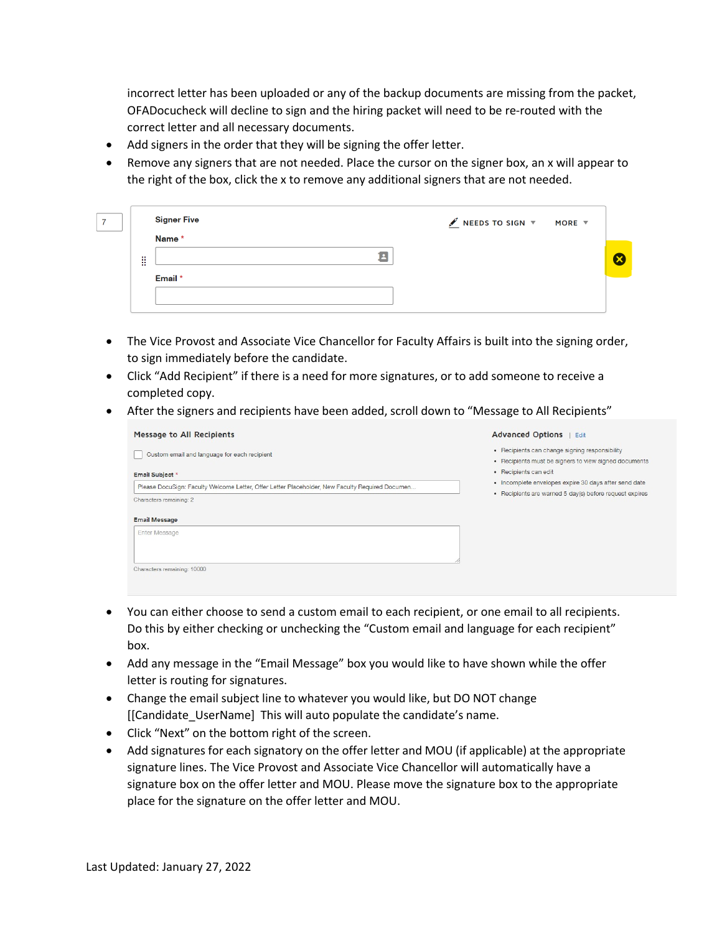incorrect letter has been uploaded or any of the backup documents are missing from the packet, OFADocucheck will decline to sign and the hiring packet will need to be re-routed with the correct letter and all necessary documents.

- Add signers in the order that they will be signing the offer letter.
- Remove any signers that are not needed. Place the cursor on the signer box, an x will appear to the right of the box, click the x to remove any additional signers that are not needed.

|                        | <b>Signer Five</b> | $\mathscr{J}$ NEEDS TO SIGN $\forall$ MORE $\forall$ |  |
|------------------------|--------------------|------------------------------------------------------|--|
|                        | Name *             |                                                      |  |
| ÷<br>$\sim$<br>$\cdot$ | Ŀ                  |                                                      |  |
|                        | Email *            |                                                      |  |
|                        |                    |                                                      |  |
|                        |                    |                                                      |  |

- The Vice Provost and Associate Vice Chancellor for Faculty Affairs is built into the signing order, to sign immediately before the candidate.
- Click "Add Recipient" if there is a need for more signatures, or to add someone to receive a completed copy.
- After the signers and recipients have been added, scroll down to "Message to All Recipients"

| <b>Message to All Recipients</b>                                                                | <b>Advanced Options</b><br>Edit                                                                         |  |  |
|-------------------------------------------------------------------------------------------------|---------------------------------------------------------------------------------------------------------|--|--|
| Custom email and language for each recipient                                                    | • Recipients can change signing responsibility<br>• Recipients must be signers to view signed documents |  |  |
| <b>Email Subject *</b>                                                                          | • Recipients can edit                                                                                   |  |  |
| Please DocuSign: Faculty Welcome Letter, Offer Letter Placeholder, New Faculty Required Documen | • Incomplete envelopes expire 30 days after send date                                                   |  |  |
| Characters remaining: 2                                                                         | • Recipients are warned 5 day(s) before request expires                                                 |  |  |
| <b>Email Message</b>                                                                            |                                                                                                         |  |  |
| <b>Enter Message</b>                                                                            |                                                                                                         |  |  |
|                                                                                                 |                                                                                                         |  |  |
| Characters remaining: 10000                                                                     |                                                                                                         |  |  |

- You can either choose to send a custom email to each recipient, or one email to all recipients. Do this by either checking or unchecking the "Custom email and language for each recipient" box.
- Add any message in the "Email Message" box you would like to have shown while the offer letter is routing for signatures.
- Change the email subject line to whatever you would like, but DO NOT change [[Candidate\_UserName] This will auto populate the candidate's name.
- Click "Next" on the bottom right of the screen.
- Add signatures for each signatory on the offer letter and MOU (if applicable) at the appropriate signature lines. The Vice Provost and Associate Vice Chancellor will automatically have a signature box on the offer letter and MOU. Please move the signature box to the appropriate place for the signature on the offer letter and MOU.